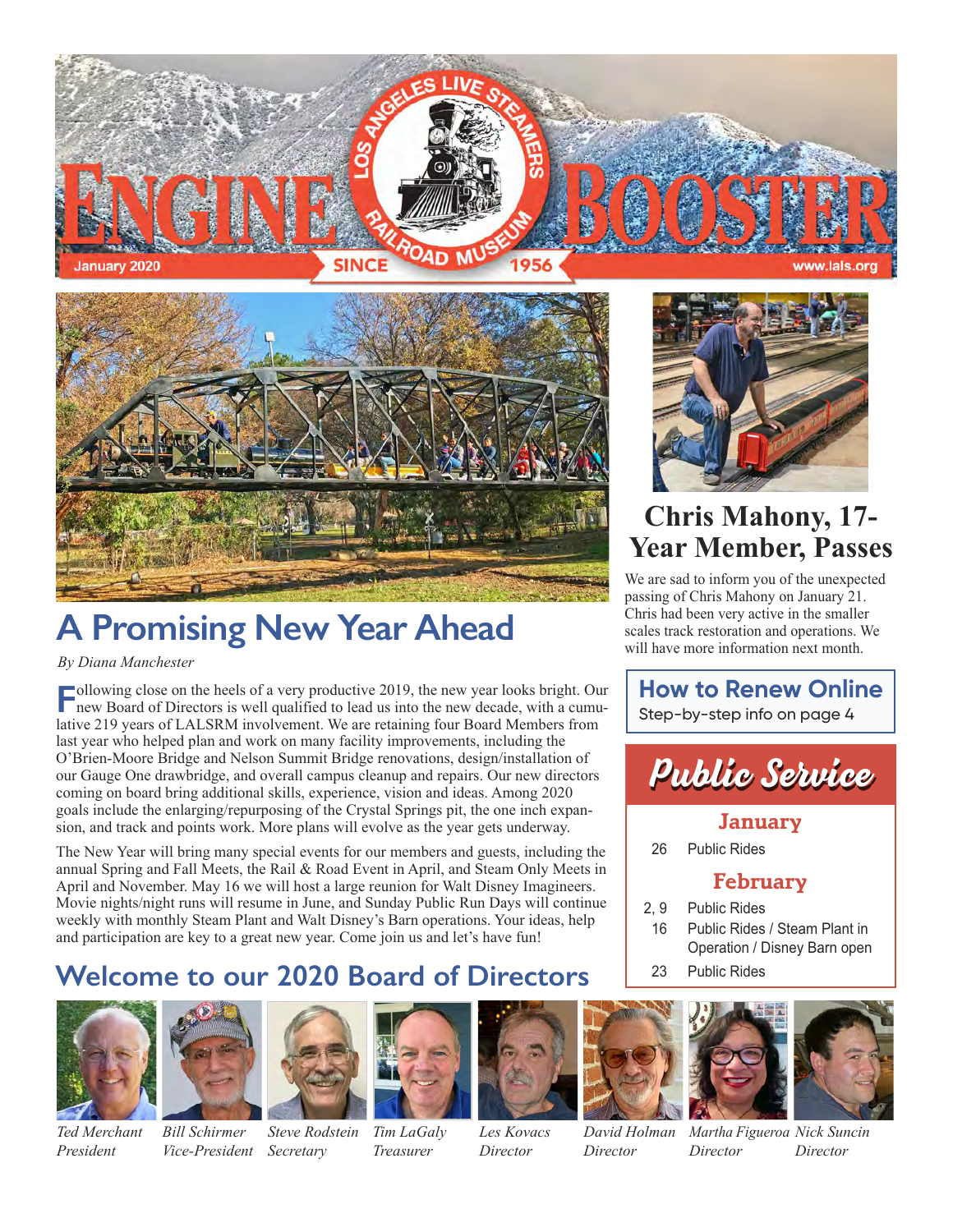



## **A Promising New Year Ahead**

#### *By Diana Manchester*

**Following close on the heels of a very productive 2019, the new year looks bright. Our new Board of Directors is well qualified to lead us into the new decade, with a cumu**lative 219 years of LALSRM involvement. We are retaining four Board Members from last year who helped plan and work on many facility improvements, including the O'Brien-Moore Bridge and Nelson Summit Bridge renovations, design/installation of our Gauge One drawbridge, and overall campus cleanup and repairs. Our new directors coming on board bring additional skills, experience, vision and ideas. Among 2020 goals include the enlarging/repurposing of the Crystal Springs pit, the one inch expansion, and track and points work. More plans will evolve as the year gets underway.

The New Year will bring many special events for our members and guests, including the annual Spring and Fall Meets, the Rail & Road Event in April, and Steam Only Meets in April and November. May 16 we will host a large reunion for Walt Disney Imagineers. Movie nights/night runs will resume in June, and Sunday Public Run Days will continue weekly with monthly Steam Plant and Walt Disney's Barn operations. Your ideas, help and participation are key to a great new year. Come join us and let's have fun!

### **Welcome to our 2020 Board of Directors**



*President*



#### *Ted Merchant Bill Schirmer Vice-President*

*Steve Rodstein Secretary*

*Tim LaGaly Treasurer*



#### *Les Kovacs Director*



*Director*



*David Holman*



*Martha Figueroa Nick Suncin Director Director*



## **Chris Mahony, 17- Year Member, Passes**

We are sad to inform you of the unexpected passing of Chris Mahony on January 21. Chris had been very active in the smaller scales track restoration and operations. We will have more information next month.

**How to Renew Online** Step-by-step info on page 4



#### **January**

26 Public Rides

### **February**

- 2, 9 Public Rides
- 16 Public Rides / Steam Plant in Operation / Disney Barn open
- 23 Public Rides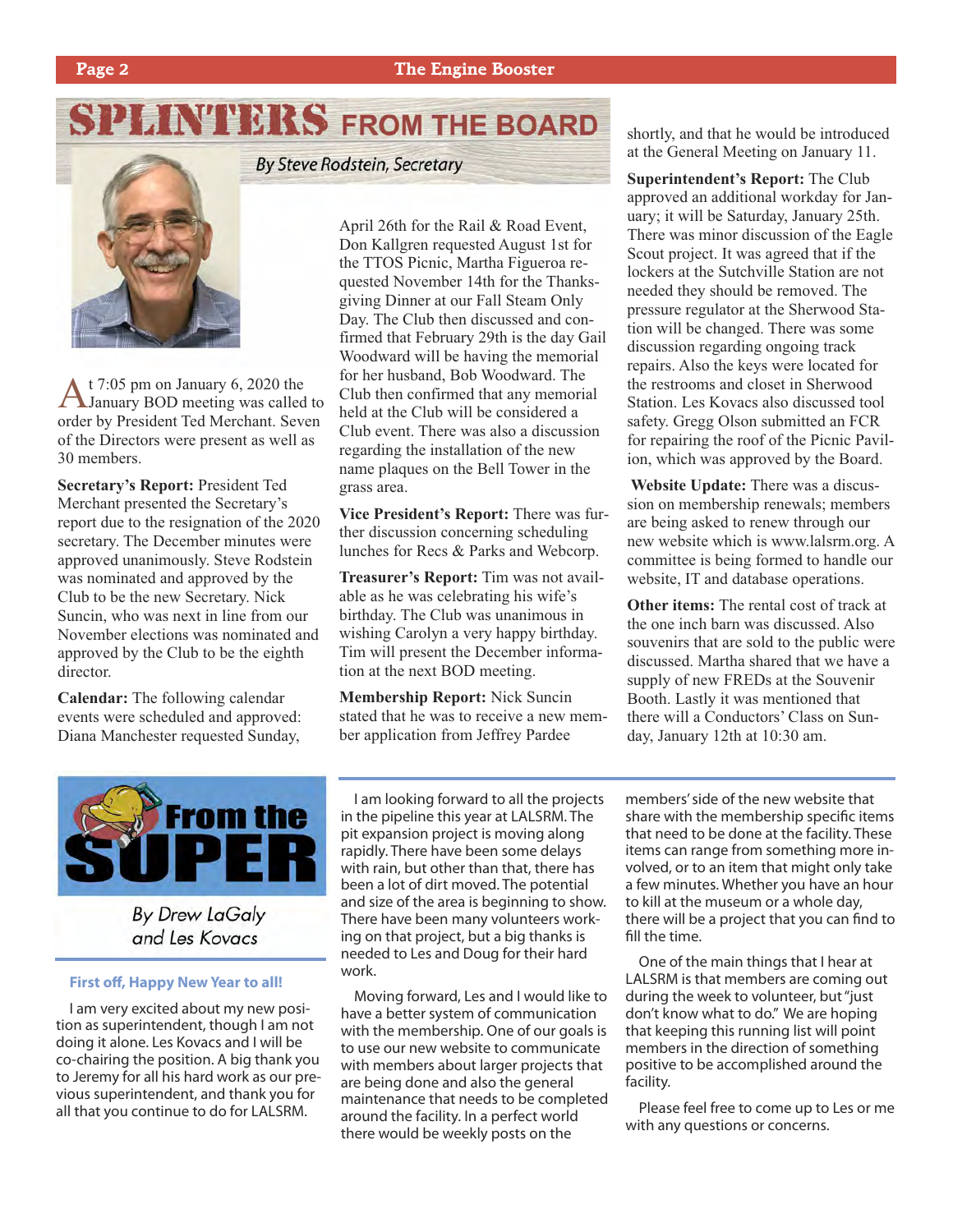## **SPLINT ERS FROM THE BOARD**



At 7:05 pm on January 6, 2020 the January BOD meeting was called to order by President Ted Merchant. Seven of the Directors were present as well as 30 members.

**Secretary's Report:** President Ted Merchant presented the Secretary's report due to the resignation of the 2020 secretary. The December minutes were approved unanimously. Steve Rodstein was nominated and approved by the Club to be the new Secretary. Nick Suncin, who was next in line from our November elections was nominated and approved by the Club to be the eighth director.

**Calendar:** The following calendar events were scheduled and approved: Diana Manchester requested Sunday,

**By Steve Rodstein, Secretary** 

April 26th for the Rail & Road Event, Don Kallgren requested August 1st for the TTOS Picnic, Martha Figueroa requested November 14th for the Thanksgiving Dinner at our Fall Steam Only Day. The Club then discussed and confirmed that February 29th is the day Gail Woodward will be having the memorial for her husband, Bob Woodward. The Club then confirmed that any memorial held at the Club will be considered a Club event. There was also a discussion regarding the installation of the new name plaques on the Bell Tower in the grass area.

**Vice President's Report:** There was further discussion concerning scheduling lunches for Recs & Parks and Webcorp.

**Treasurer's Report:** Tim was not available as he was celebrating his wife's birthday. The Club was unanimous in wishing Carolyn a very happy birthday. Tim will present the December information at the next BOD meeting.

**Membership Report:** Nick Suncin stated that he was to receive a new member application from Jeffrey Pardee

shortly, and that he would be introduced at the General Meeting on January 11.

**Superintendent's Report:** The Club approved an additional workday for January; it will be Saturday, January 25th. There was minor discussion of the Eagle Scout project. It was agreed that if the lockers at the Sutchville Station are not needed they should be removed. The pressure regulator at the Sherwood Station will be changed. There was some discussion regarding ongoing track repairs. Also the keys were located for the restrooms and closet in Sherwood Station. Les Kovacs also discussed tool safety. Gregg Olson submitted an FCR for repairing the roof of the Picnic Pavilion, which was approved by the Board.

**Website Update:** There was a discussion on membership renewals; members are being asked to renew through our new website which is www.lalsrm.org. A committee is being formed to handle our website, IT and database operations.

**Other items:** The rental cost of track at the one inch barn was discussed. Also souvenirs that are sold to the public were discussed. Martha shared that we have a supply of new FREDs at the Souvenir Booth. Lastly it was mentioned that there will a Conductors' Class on Sunday, January 12th at 10:30 am.



**By Drew LaGaly** and Les Kovacs

#### **First off, Happy New Year to all!**

I am very excited about my new position as superintendent, though I am not doing it alone. Les Kovacs and I will be co-chairing the position. A big thank you to Jeremy for all his hard work as our previous superintendent, and thank you for all that you continue to do for LALSRM.

I am looking forward to all the projects in the pipeline this year at LALSRM. The pit expansion project is moving along rapidly. There have been some delays with rain, but other than that, there has been a lot of dirt moved. The potential and size of the area is beginning to show. There have been many volunteers working on that project, but a big thanks is needed to Les and Doug for their hard work.

Moving forward, Les and I would like to have a better system of communication with the membership. One of our goals is to use our new website to communicate with members about larger projects that are being done and also the general maintenance that needs to be completed around the facility. In a perfect world there would be weekly posts on the

members' side of the new website that share with the membership specific items that need to be done at the facility. These items can range from something more involved, or to an item that might only take a few minutes. Whether you have an hour to kill at the museum or a whole day, there will be a project that you can find to fill the time.

One of the main things that I hear at LALSRM is that members are coming out during the week to volunteer, but "just don't know what to do." We are hoping that keeping this running list will point members in the direction of something positive to be accomplished around the facility.

Please feel free to come up to Les or me with any questions or concerns.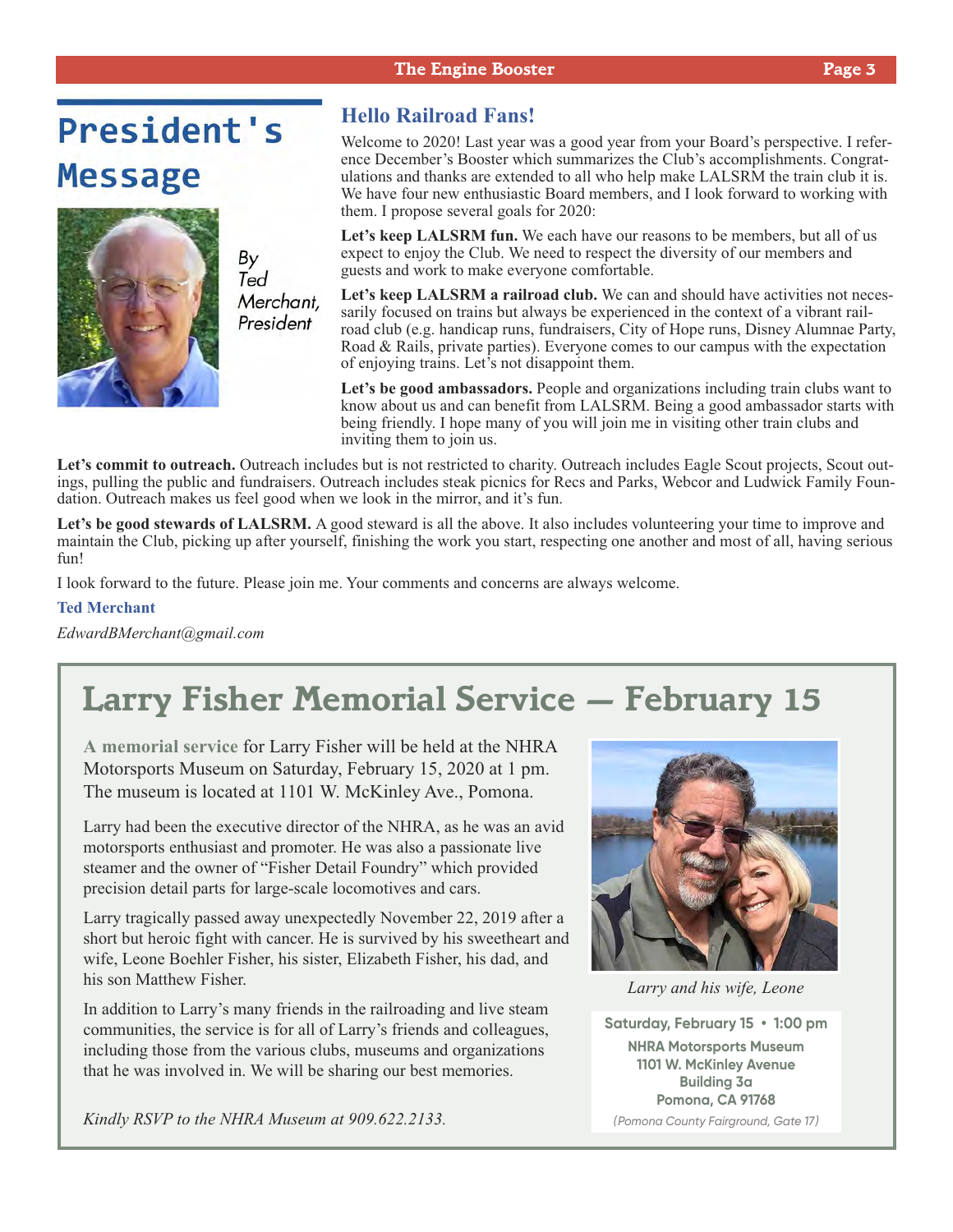#### **The Engine Booster Page 3**

## **President's Message**



By<br>Ted Merchant, President

#### **Hello Railroad Fans!**

Welcome to 2020! Last year was a good year from your Board's perspective. I reference December's Booster which summarizes the Club's accomplishments. Congratulations and thanks are extended to all who help make LALSRM the train club it is. We have four new enthusiastic Board members, and I look forward to working with them. I propose several goals for 2020:

**Let's keep LALSRM fun.** We each have our reasons to be members, but all of us expect to enjoy the Club. We need to respect the diversity of our members and guests and work to make everyone comfortable.

Let's keep LALSRM a railroad club. We can and should have activities not necessarily focused on trains but always be experienced in the context of a vibrant railroad club (e.g. handicap runs, fundraisers, City of Hope runs, Disney Alumnae Party, Road & Rails, private parties). Everyone comes to our campus with the expectation of enjoying trains. Let's not disappoint them.

Let's be good ambassadors. People and organizations including train clubs want to know about us and can benefit from LALSRM. Being a good ambassador starts with being friendly. I hope many of you will join me in visiting other train clubs and inviting them to join us.

Let's commit to outreach. Outreach includes but is not restricted to charity. Outreach includes Eagle Scout projects, Scout outings, pulling the public and fundraisers. Outreach includes steak picnics for Recs and Parks, Webcor and Ludwick Family Foundation. Outreach makes us feel good when we look in the mirror, and it's fun.

Let's be good stewards of LALSRM. A good steward is all the above. It also includes volunteering your time to improve and maintain the Club, picking up after yourself, finishing the work you start, respecting one another and most of all, having serious fun!

I look forward to the future. Please join me. Your comments and concerns are always welcome.

#### **Ted Merchant**

*EdwardBMerchant@gmail.com*

## **Larry Fisher Memorial Service — February 15**

**A memorial service** for Larry Fisher will be held at the NHRA Motorsports Museum on Saturday, February 15, 2020 at 1 pm. The museum is located at 1101 W. McKinley Ave., Pomona.

Larry had been the executive director of the NHRA, as he was an avid motorsports enthusiast and promoter. He was also a passionate live steamer and the owner of "Fisher Detail Foundry" which provided precision detail parts for large-scale locomotives and cars.

Larry tragically passed away unexpectedly November 22, 2019 after a short but heroic fight with cancer. He is survived by his sweetheart and wife, Leone Boehler Fisher, his sister, Elizabeth Fisher, his dad, and his son Matthew Fisher.

In addition to Larry's many friends in the railroading and live steam communities, the service is for all of Larry's friends and colleagues, including those from the various clubs, museums and organizations that he was involved in. We will be sharing our best memories.

*Kindly RSVP to the NHRA Museum at 909.622.2133.*



*Larry and his wife, Leone*

**Saturday, February 15 • 1:00 pm NHRA Motorsports Museum 1101 W. McKinley Avenue Building 3a Pomona, CA 91768** *(Pomona County Fairground, Gate 17)*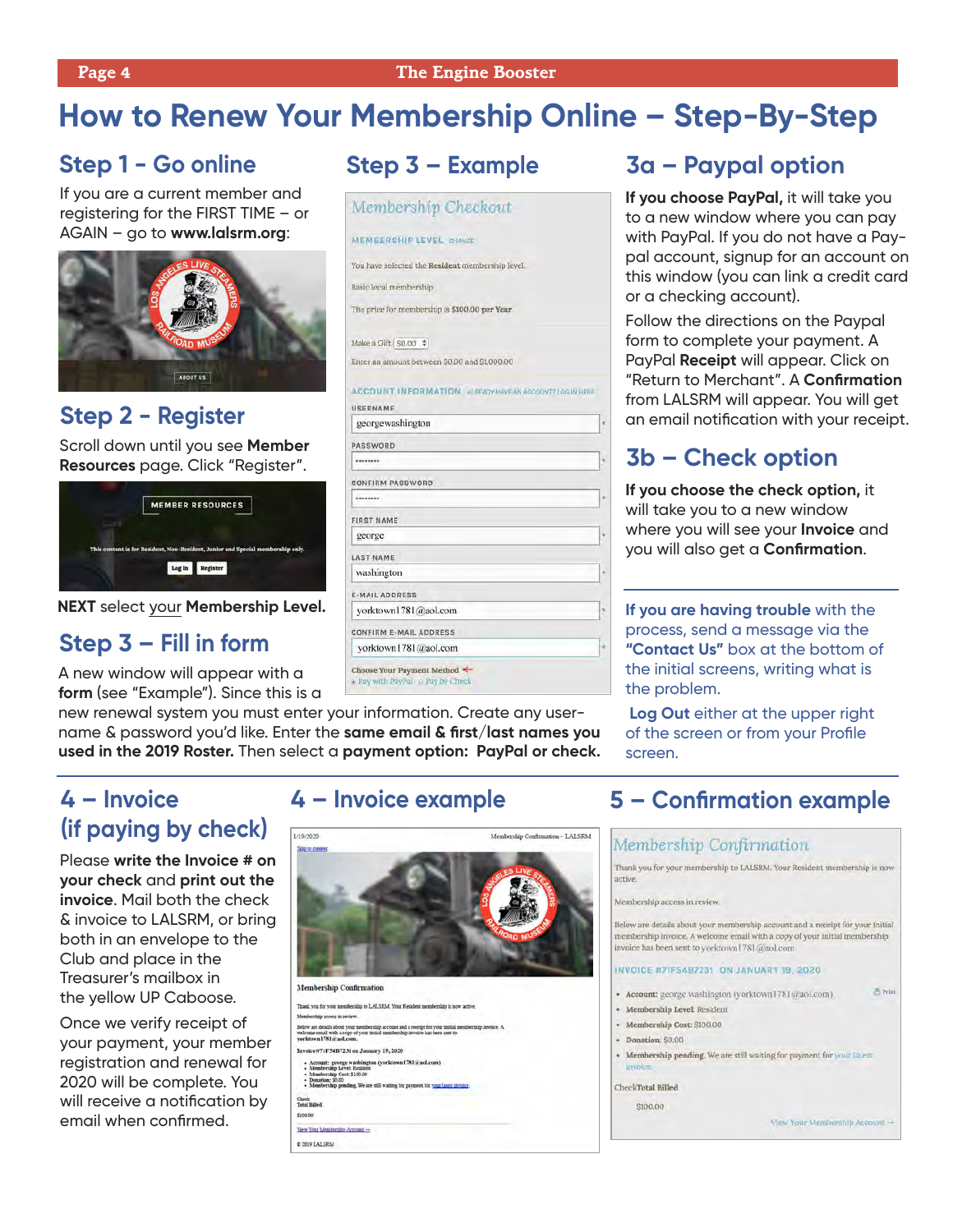## **How to Renew Your Membership Online – Step-By-Step**

### **Step 1 - Go online**

If you are a current member and registering for the FIRST TIME – or AGAIN – go to **www.lalsrm.org**:



### **Step 2 - Register**

Scroll down until you see **Member Resources** page. Click "Register".



**NEXT** select your **Membership Level.**

### **Step 3 – Fill in form**

A new window will appear with a **form** (see "Example"). Since this is a

new renewal system you must enter your information. Create any username & password you'd like. Enter the **same email & first/last names you used in the 2019 Roster.** Then select a **payment option: PayPal or check.**

### **Step 3 – Example**

#### Membership Checkout

#### MEMBERSHIP LEVEL CHANGE

You have selected the Resident membership level.

Rasic local membership

The price for membership is \$100.00 per Year.

Make a Gift S0.00  $\div$ Enter an amount between \$0,00 and \$1,000.00

ACCOUNT INFORMATION ALREADYHAVE AN ACCOUNT? LOS IN HERE

| USERNAME                                                       |                       |
|----------------------------------------------------------------|-----------------------|
| georgewashington                                               | $\boldsymbol{\theta}$ |
| <b>PASSWORD</b>                                                |                       |
| ********                                                       | $\eta$                |
| <b>CONFIRM PASSWORD</b>                                        |                       |
| ********                                                       | 3h                    |
| <b>FIRST NAME</b>                                              |                       |
| george                                                         | W                     |
| <b>LAST NAME</b>                                               |                       |
| washington                                                     | ŵ                     |
| <b>E-MAIL ADDRESS</b>                                          |                       |
| yorktown1781@aol.com                                           | ž                     |
| CONFIRM E-MAIL ADDRESS                                         |                       |
| yorktown1781@aol.com                                           | è                     |
| Choose Your Payment Method<br>a Pay with PayPal @ Pay by Check |                       |

### **3a – Paypal option**

**If you choose PayPal,** it will take you to a new window where you can pay with PayPal. If you do not have a Paypal account, signup for an account on this window (you can link a credit card or a checking account).

Follow the directions on the Paypal form to complete your payment. A PayPal **Receipt** will appear. Click on "Return to Merchant". A **Confirmation** from LALSRM will appear. You will get an email notification with your receipt.

### **3b – Check option**

**If you choose the check option,** it will take you to a new window where you will see your **Invoice** and you will also get a **Confirmation**.

**If you are having trouble** with the process, send a message via the **"Contact Us"** box at the bottom of the initial screens, writing what is the problem.

**Log Out** either at the upper right of the screen or from your Profile screen.

### **4 – Invoice (if paying by check)**

Please **write the Invoice # on your check** and **print out the invoice**. Mail both the check & invoice to LALSRM, or bring both in an envelope to the Club and place in the Treasurer's mailbox in the yellow UP Caboose.

Once we verify receipt of your payment, your member registration and renewal for 2020 will be complete. You will receive a notification by email when confirmed.

### **4 – Invoice example**



C 2019 LALSRM

### **5 – Confirmation example**

#### Membership Confirmation

Thank you for your membership to LALSRM. Your Resident membership is now active.

Membership access in review.

Below are details about your membership account and a receipt for your Initial membership invoice. A welcome email with a copy of your initial membership invoice has been sent to yorktown [781@aol.com

#### INVOICE #7IF54B7231 ON JANUARY 19, 2020

- Account: george washington (yorktown1781@aol.com)
- · Membership Level: Resident
- · Membership Cost: \$100.00
- · Donation: \$0.00
- Membership pending. We are still waiting for payment for your latest

CheckTotal Billed

\$100.00

View Your Membership Account -

西 Print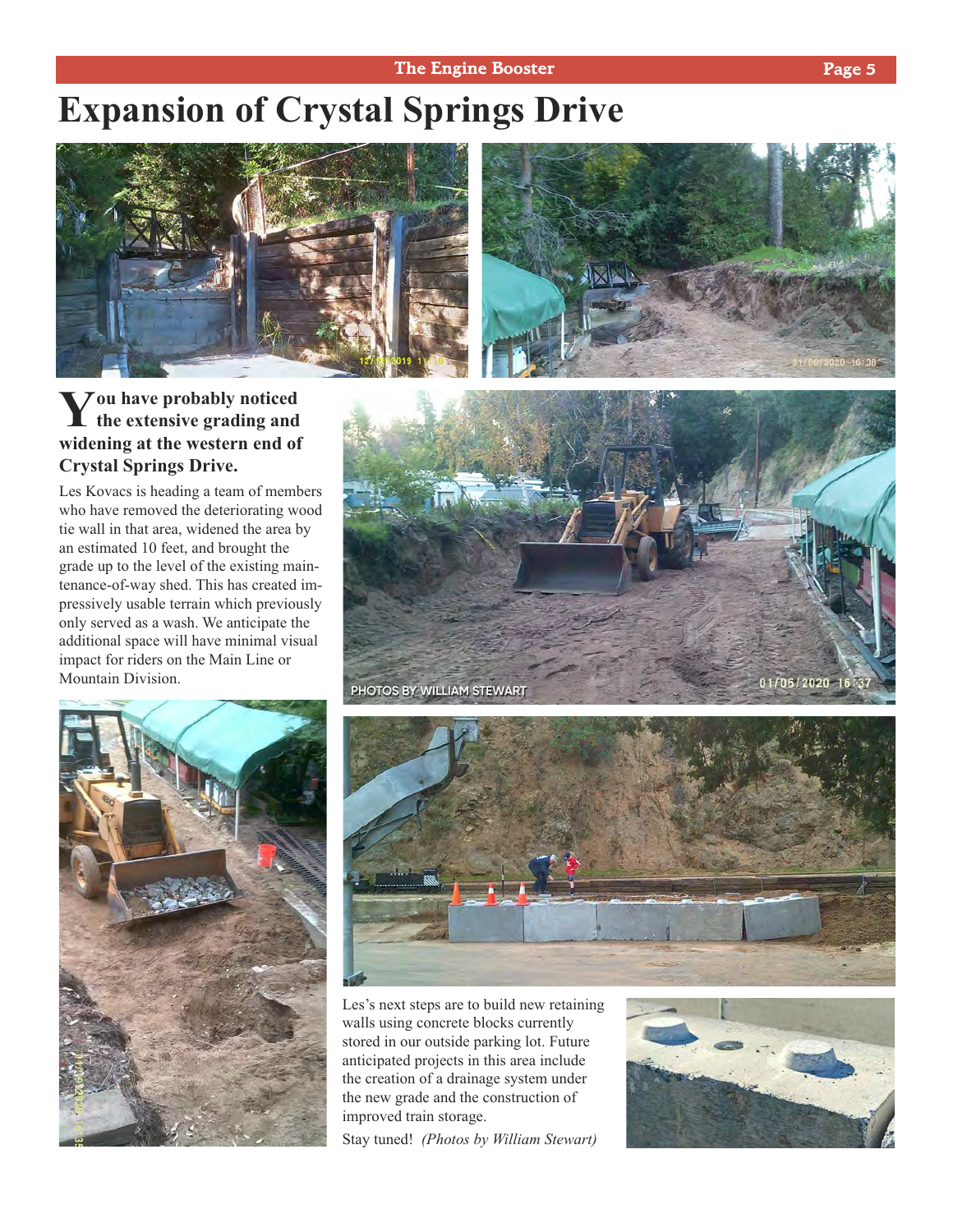#### **The Engine Booster Page 5**

## **Expansion of Crystal Springs Drive**



### **You have probably noticed the extensive grading and widening at the western end of Crystal Springs Drive.**

Les Kovacs is heading a team of members who have removed the deteriorating wood tie wall in that area, widened the area by an estimated 10 feet, and brought the grade up to the level of the existing maintenance-of-way shed. This has created impressively usable terrain which previously only served as a wash. We anticipate the additional space will have minimal visual impact for riders on the Main Line or Mountain Division.







Les's next steps are to build new retaining walls using concrete blocks currently stored in our outside parking lot. Future anticipated projects in this area include the creation of a drainage system under the new grade and the construction of improved train storage.

Stay tuned! *(Photos by William Stewart)*

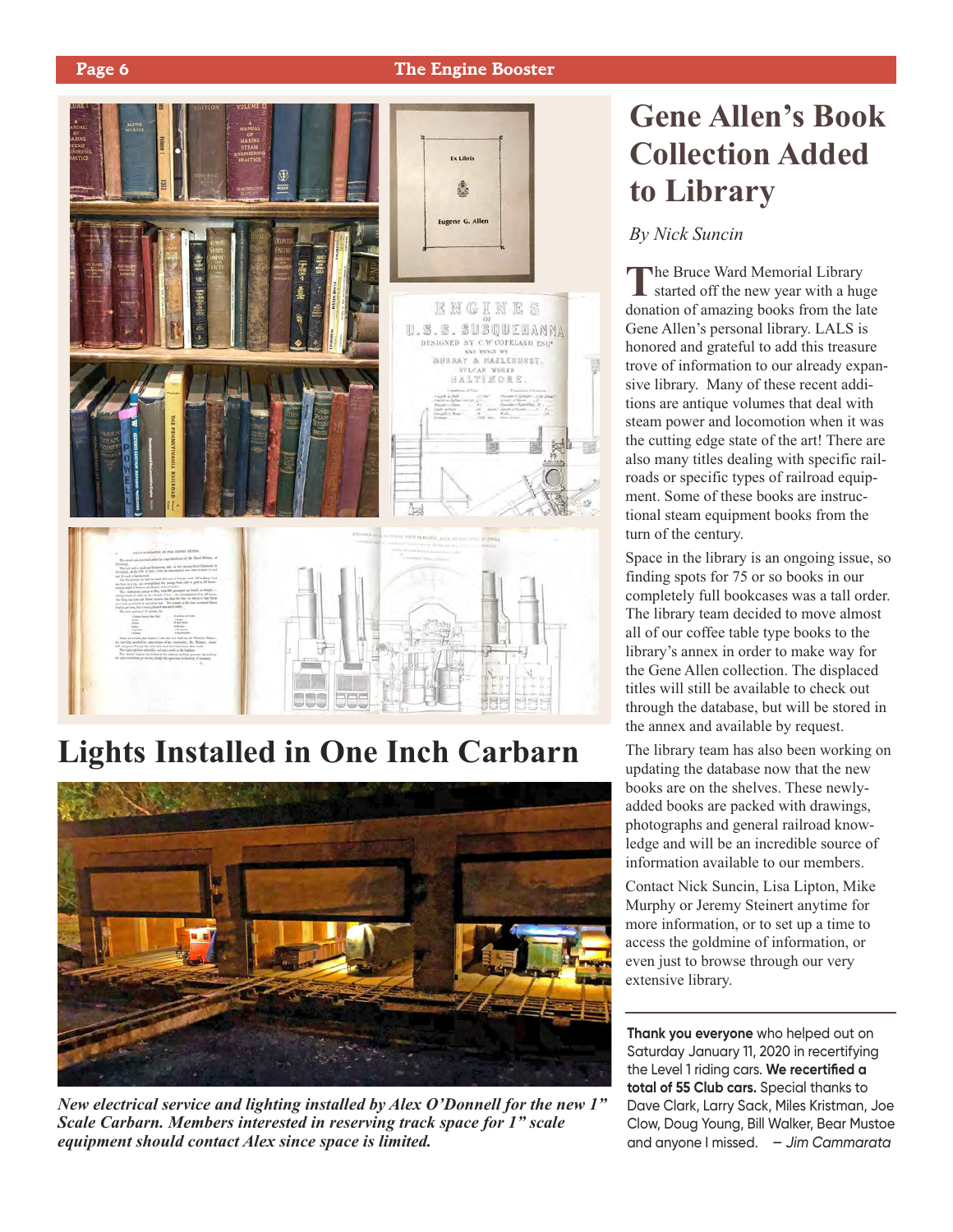

## **Lights Installed in One Inch Carbarn**



*New electrical service and lighting installed by Alex O'Donnell for the new 1" Scale Carbarn. Members interested in reserving track space for 1" scale equipment should contact Alex since space is limited.*

## **Gene Allen's Book Collection Added to Library**

*By Nick Suncin*

**T**he Bruce Ward Memorial Library started off the new year with a huge donation of amazing books from the late Gene Allen's personal library. LALS is honored and grateful to add this treasure trove of information to our already expansive library. Many of these recent additions are antique volumes that deal with steam power and locomotion when it was the cutting edge state of the art! There are also many titles dealing with specific railroads or specific types of railroad equipment. Some of these books are instructional steam equipment books from the turn of the century.

Space in the library is an ongoing issue, so finding spots for 75 or so books in our completely full bookcases was a tall order. The library team decided to move almost all of our coffee table type books to the library's annex in order to make way for the Gene Allen collection. The displaced titles will still be available to check out through the database, but will be stored in the annex and available by request.

The library team has also been working on updating the database now that the new books are on the shelves. These newlyadded books are packed with drawings, photographs and general railroad knowledge and will be an incredible source of information available to our members.

Contact Nick Suncin, Lisa Lipton, Mike Murphy or Jeremy Steinert anytime for more information, or to set up a time to access the goldmine of information, or even just to browse through our very extensive library.

**Thank you everyone** who helped out on Saturday January 11, 2020 in recertifying the Level 1 riding cars. **We recertified a total of 55 Club cars.** Special thanks to Dave Clark, Larry Sack, Miles Kristman, Joe Clow, Doug Young, Bill Walker, Bear Mustoe and anyone I missed. *— Jim Cammarata*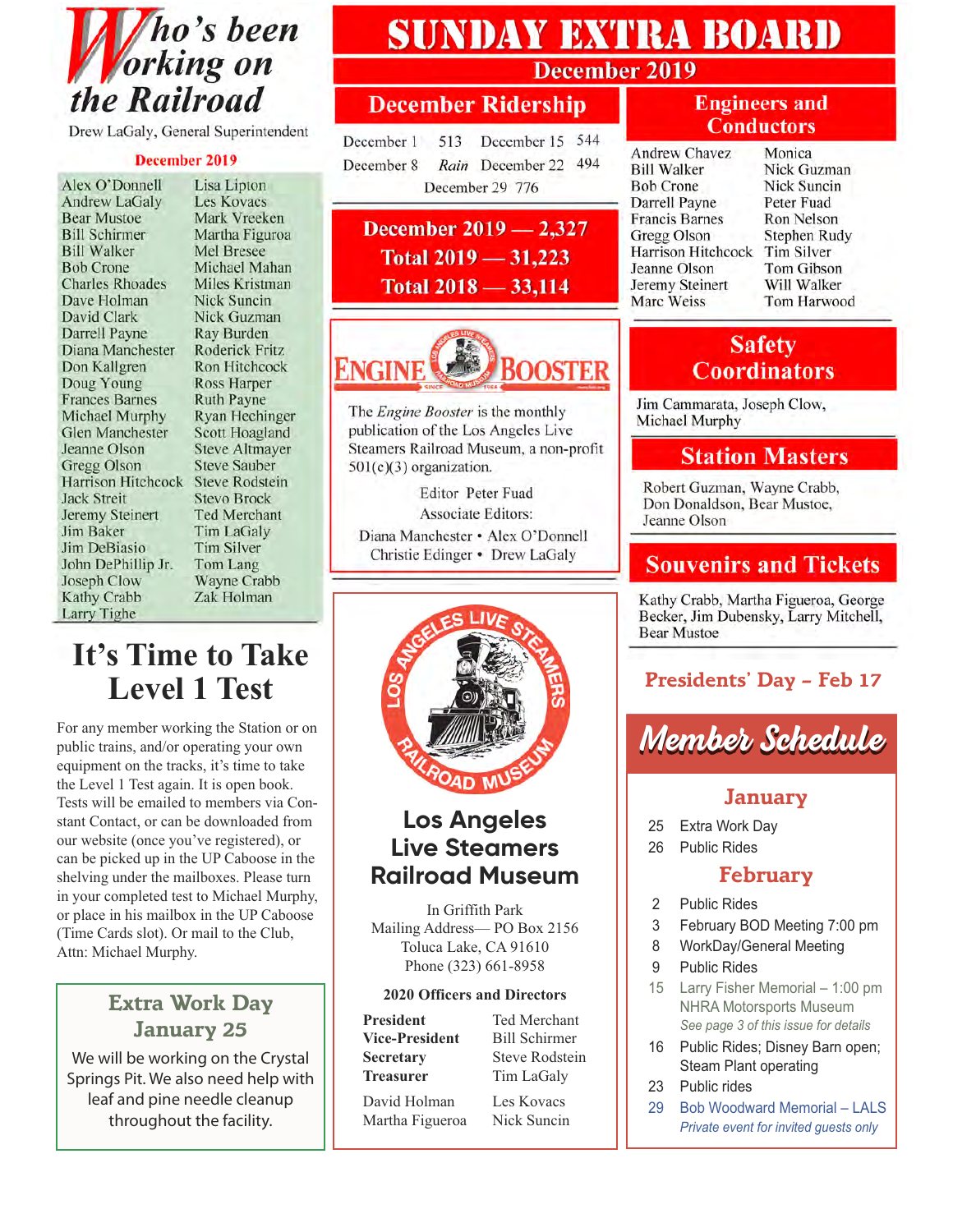

Drew LaGaly, General Superintendent

#### December 2019

Alex O'Donnell **Andrew LaGaly Bear Mustoe Bill Schirmer Bill Walker Bob Crone Charles Rhoades** Dave Holman David Clark Darrell Payne Diana Manchester Don Kallgren Doug Young **Frances Barnes** Michael Murphy **Glen Manchester** Jeanne Olson **Gregg Olson** Harrison Hitchcock Steve Rodstein **Jack Streit** Jeremy Steinert Jim Baker Jim DeBiasio John DePhillip Jr. Joseph Clow Kathy Crabb Larry Tighe

Lisa Lipton Les Kovacs Mark Vreeken Martha Figuroa Mel Bresee Michael Mahan Miles Kristman Nick Suncin Nick Guzman Ray Burden Roderick Fritz Ron Hitchcock **Ross Harper Ruth Payne** Ryan Hechinger Scott Hoagland **Steve Altmayer Steve Sauber Stevo Brock** Ted Merchant **Tim LaGaly** Tim Silver Tom Lang Wayne Crabb Zak Holman

### **It's Time to Take Level 1 Test**

For any member working the Station or on public trains, and/or operating your own equipment on the tracks, it's time to take the Level 1 Test again. It is open book. Tests will be emailed to members via Constant Contact, or can be downloaded from our website (once you've registered), or can be picked up in the UP Caboose in the shelving under the mailboxes. Please turn in your completed test to Michael Murphy, or place in his mailbox in the UP Caboose (Time Cards slot). Or mail to the Club, Attn: Michael Murphy.

#### **Extra Work Day January 25**

We will be working on the Crystal Springs Pit. We also need help with leaf and pine needle cleanup throughout the facility.

## **SUNDAY EXTRA BOARD**

#### **December 2019**

### **December Ridership**

December 1 513 December 15 544 December 8 Rain December 22 494 December 29 776

December 2019 - 2,327 Total  $2019 - 31,223$ Total  $2018 - 33,114$ 



The Engine Booster is the monthly publication of the Los Angeles Live Steamers Railroad Museum, a non-profit  $501(c)(3)$  organization.

**Editor Peter Fuad Associate Editors:** Diana Manchester · Alex O'Donnell Christie Edinger • Drew LaGaly



### **Los Angeles Live Steamers Railroad Museum**

In Griffith Park Mailing Address— PO Box 2156 Toluca Lake, CA 91610 Phone (323) 661-8958

#### **2020 Officers and Directors**

President Ted Merchant **Vice-President** Bill Schirmer

**Secretary** Steve Rodstein **Treasurer** Tim LaGaly

David Holman Les Kovacs Martha Figueroa Nick Suncin

#### **Engineers and Conductors**

**Andrew Chavez Bill Walker Bob Crone Darrell Payne Francis Barnes** Gregg Olson **Harrison Hitchcock** Jeanne Olson Jeremy Steinert Marc Weiss

Monica Nick Guzman **Nick Suncin** Peter Fuad Ron Nelson Stephen Rudy Tim Silver Tom Gibson Will Walker Tom Harwood

#### **Safety Coordinators**

Jim Cammarata, Joseph Clow, Michael Murphy

#### **Station Masters**

Robert Guzman, Wayne Crabb, Don Donaldson, Bear Mustoe, Jeanne Olson

#### **Souvenirs and Tickets**

Kathy Crabb, Martha Figueroa, George Becker, Jim Dubensky, Larry Mitchell, **Bear Mustoe** 

#### **Presidents' Day – Feb 17**

## *Member Schedule*

#### **January**

- 25 Extra Work Day
- 26 Public Rides

#### **February**

- 2 Public Rides
- 3 February BOD Meeting 7:00 pm
- 8 WorkDay/General Meeting
- 9 Public Rides
- 15 Larry Fisher Memorial 1:00 pm NHRA Motorsports Museum *See page 3 of this issue for details*
- 16 Public Rides; Disney Barn open; Steam Plant operating
- 23 Public rides
- 29 Bob Woodward Memorial LALS *Private event for invited guests only*